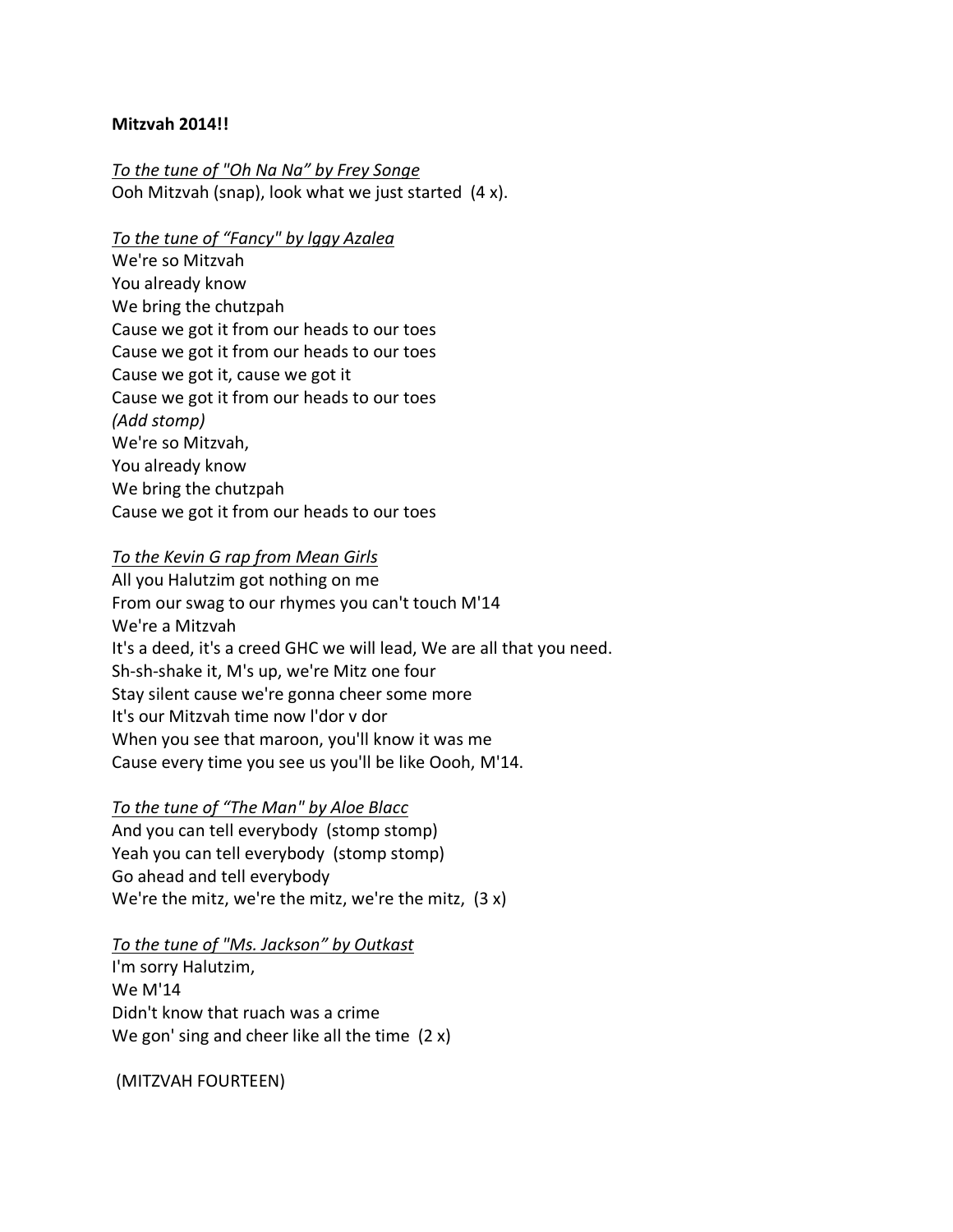#### **Mitzvah 2014!!**

*To the tune of "Oh Na Na" by Frey Songe*  Ooh Mitzvah (snap), look what we just started (4 x).

#### *To the tune of "Fancy" by lggy Azalea*

We're so Mitzvah You already know We bring the chutzpah Cause we got it from our heads to our toes Cause we got it from our heads to our toes Cause we got it, cause we got it Cause we got it from our heads to our toes *(Add stomp)* We're so Mitzvah, You already know We bring the chutzpah Cause we got it from our heads to our toes

#### *To the Kevin G rap from Mean Girls*

All you Halutzim got nothing on me From our swag to our rhymes you can't touch M'14 We're a Mitzvah It's a deed, it's a creed GHC we will lead, We are all that you need. Sh-sh-shake it, M's up, we're Mitz one four Stay silent cause we're gonna cheer some more It's our Mitzvah time now l'dor v dor When you see that maroon, you'll know it was me Cause every time you see us you'll be like Oooh, M'14.

## *To the tune of "The Man" by Aloe Blacc*

And you can tell everybody (stomp stomp) Yeah you can tell everybody (stomp stomp) Go ahead and tell everybody We're the mitz, we're the mitz, we're the mitz, (3 x)

#### *To the tune of "Ms. Jackson" by Outkast*

I'm sorry Halutzim, We M'14 Didn't know that ruach was a crime We gon' sing and cheer like all the time (2 x)

(MITZVAH FOURTEEN)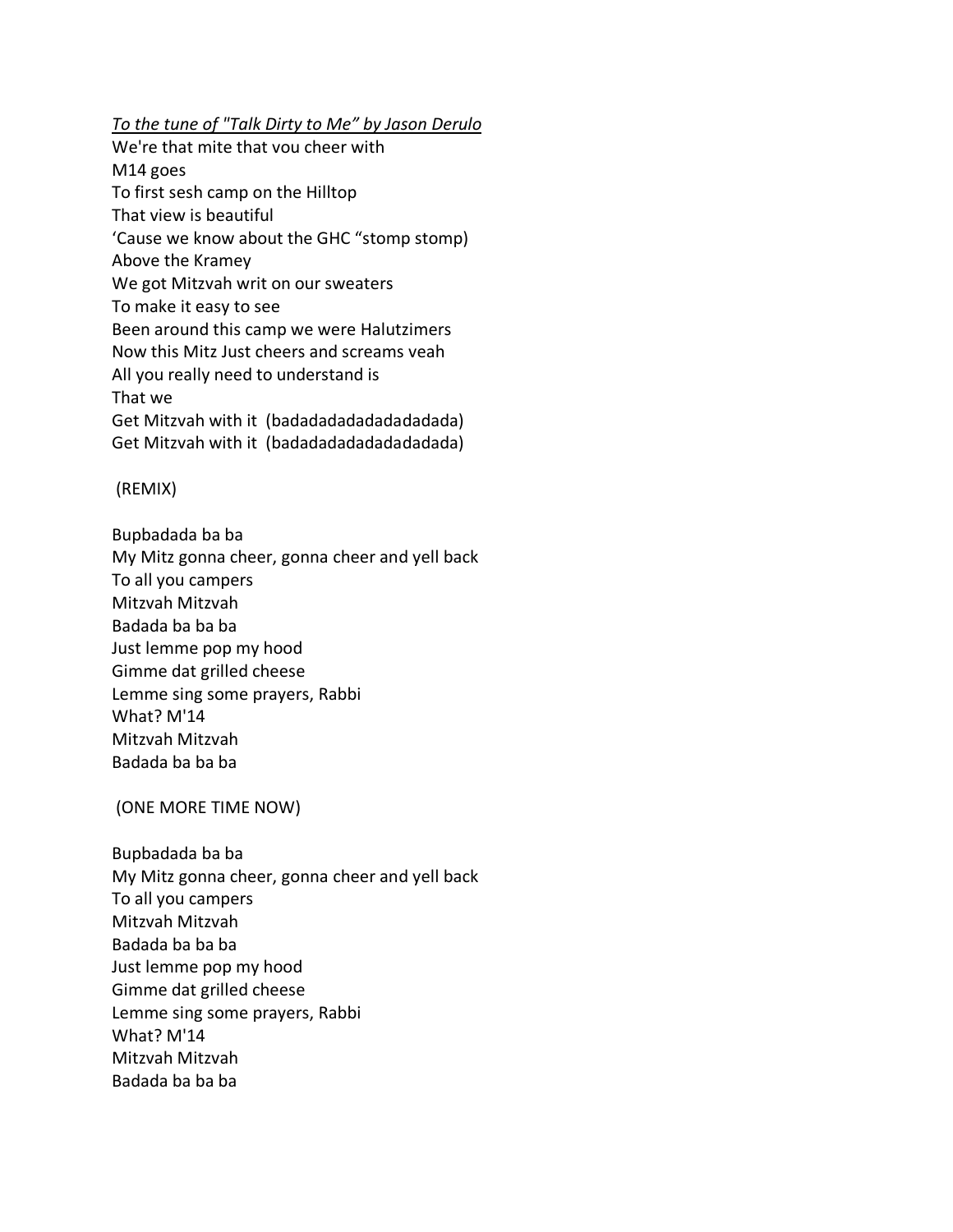*To the tune of "Talk Dirty to Me" by Jason Derulo*

We're that mite that vou cheer with M14 goes To first sesh camp on the Hilltop That view is beautiful 'Cause we know about the GHC "stomp stomp) Above the Kramey We got Mitzvah writ on our sweaters To make it easy to see Been around this camp we were Halutzimers Now this Mitz Just cheers and screams veah All you really need to understand is That we Get Mitzvah with it (badadadadadadadada) Get Mitzvah with it (badadadadadadadadada)

## (REMIX)

Bupbadada ba ba My Mitz gonna cheer, gonna cheer and yell back To all you campers Mitzvah Mitzvah Badada ba ba ba Just lemme pop my hood Gimme dat grilled cheese Lemme sing some prayers, Rabbi What? M'14 Mitzvah Mitzvah Badada ba ba ba

# (ONE MORE TIME NOW)

Bupbadada ba ba My Mitz gonna cheer, gonna cheer and yell back To all you campers Mitzvah Mitzvah Badada ba ba ba Just lemme pop my hood Gimme dat grilled cheese Lemme sing some prayers, Rabbi What? M'14 Mitzvah Mitzvah Badada ba ba ba